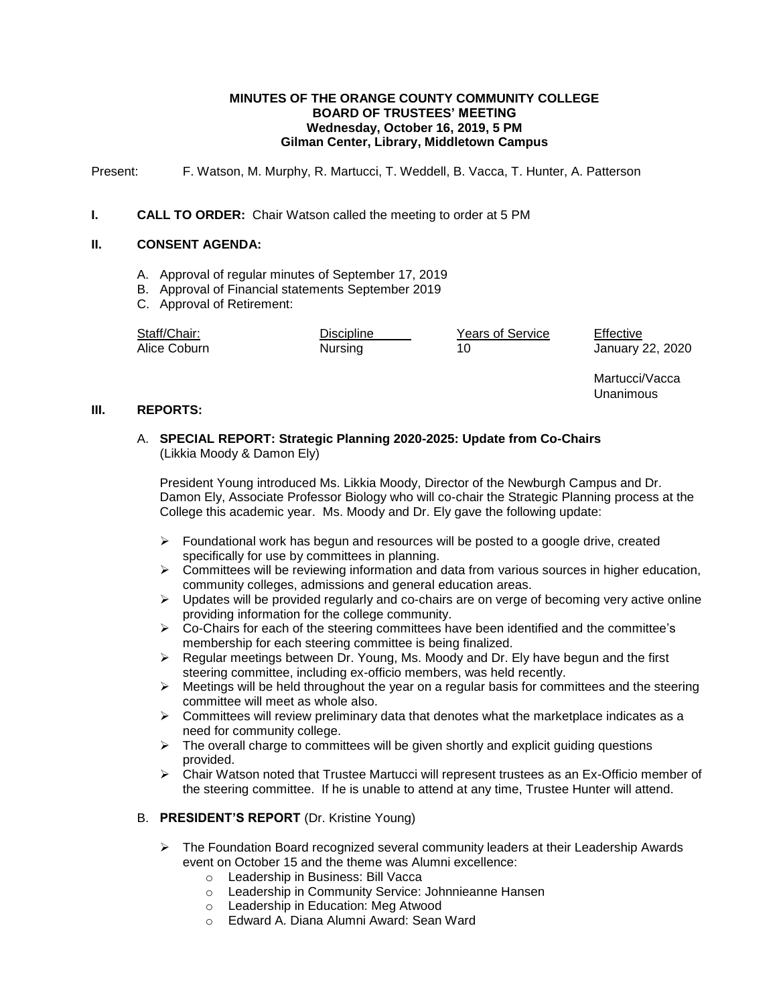### **MINUTES OF THE ORANGE COUNTY COMMUNITY COLLEGE BOARD OF TRUSTEES' MEETING Wednesday, October 16, 2019, 5 PM Gilman Center, Library, Middletown Campus**

Present: F. Watson, M. Murphy, R. Martucci, T. Weddell, B. Vacca, T. Hunter, A. Patterson

### **I. CALL TO ORDER:** Chair Watson called the meeting to order at 5 PM

## **II. CONSENT AGENDA:**

- A. Approval of regular minutes of September 17, 2019
- B. Approval of Financial statements September 2019
- C. Approval of Retirement:

| Staff/Chair: | <b>Discipline</b> | <b>Years of Service</b> | Effective        |
|--------------|-------------------|-------------------------|------------------|
| Alice Coburn | Nursing           |                         | January 22, 2020 |

Martucci/Vacca Unanimous

#### **III. REPORTS:**

## A. **SPECIAL REPORT: Strategic Planning 2020-2025: Update from Co-Chairs** (Likkia Moody & Damon Ely)

President Young introduced Ms. Likkia Moody, Director of the Newburgh Campus and Dr. Damon Ely, Associate Professor Biology who will co-chair the Strategic Planning process at the College this academic year. Ms. Moody and Dr. Ely gave the following update:

- $\triangleright$  Foundational work has begun and resources will be posted to a google drive, created specifically for use by committees in planning.
- $\triangleright$  Committees will be reviewing information and data from various sources in higher education, community colleges, admissions and general education areas.
- $\triangleright$  Updates will be provided regularly and co-chairs are on verge of becoming very active online providing information for the college community.
- $\triangleright$  Co-Chairs for each of the steering committees have been identified and the committee's membership for each steering committee is being finalized.
- $\triangleright$  Regular meetings between Dr. Young, Ms. Moody and Dr. Ely have begun and the first steering committee, including ex-officio members, was held recently.
- $\triangleright$  Meetings will be held throughout the year on a regular basis for committees and the steering committee will meet as whole also.
- $\triangleright$  Committees will review preliminary data that denotes what the marketplace indicates as a need for community college.
- $\triangleright$  The overall charge to committees will be given shortly and explicit guiding questions provided.
- $\triangleright$  Chair Watson noted that Trustee Martucci will represent trustees as an Ex-Officio member of the steering committee. If he is unable to attend at any time, Trustee Hunter will attend.

### B. **PRESIDENT'S REPORT** (Dr. Kristine Young)

- $\triangleright$  The Foundation Board recognized several community leaders at their Leadership Awards event on October 15 and the theme was Alumni excellence:
	- o Leadership in Business: Bill Vacca
	- o Leadership in Community Service: Johnnieanne Hansen
	- o Leadership in Education: Meg Atwood
	- o Edward A. Diana Alumni Award: Sean Ward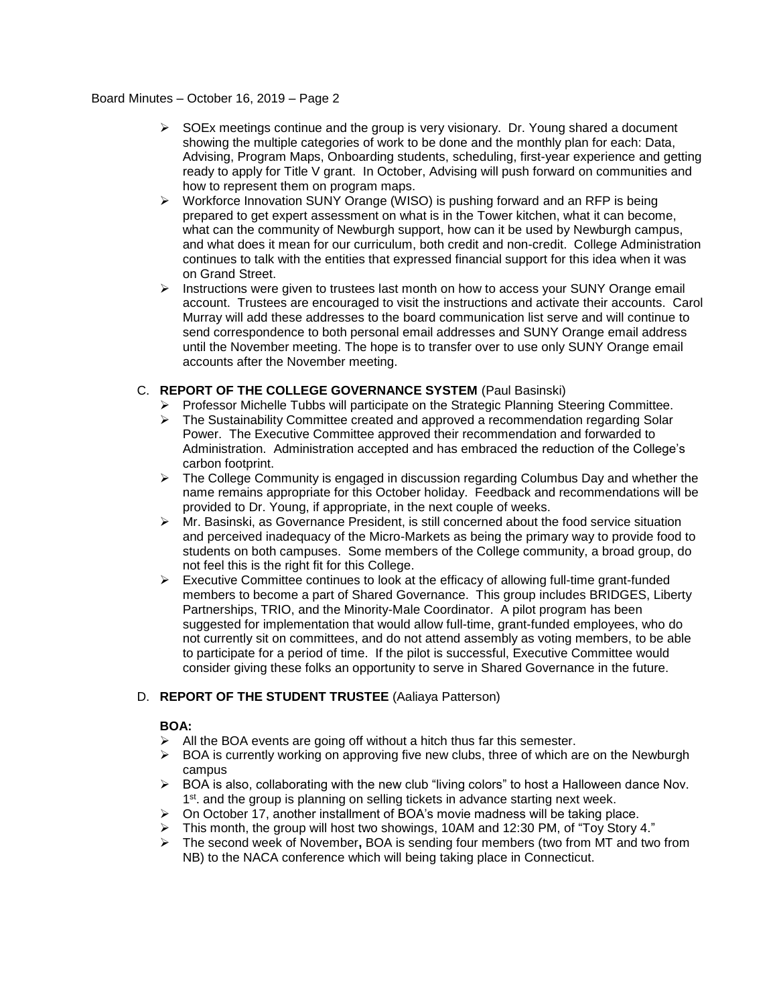#### Board Minutes – October 16, 2019 – Page 2

- $\triangleright$  SOEx meetings continue and the group is very visionary. Dr. Young shared a document showing the multiple categories of work to be done and the monthly plan for each: Data, Advising, Program Maps, Onboarding students, scheduling, first-year experience and getting ready to apply for Title V grant. In October, Advising will push forward on communities and how to represent them on program maps.
- $\triangleright$  Workforce Innovation SUNY Orange (WISO) is pushing forward and an RFP is being prepared to get expert assessment on what is in the Tower kitchen, what it can become, what can the community of Newburgh support, how can it be used by Newburgh campus, and what does it mean for our curriculum, both credit and non-credit. College Administration continues to talk with the entities that expressed financial support for this idea when it was on Grand Street.
- $\triangleright$  Instructions were given to trustees last month on how to access your SUNY Orange email account. Trustees are encouraged to visit the instructions and activate their accounts. Carol Murray will add these addresses to the board communication list serve and will continue to send correspondence to both personal email addresses and SUNY Orange email address until the November meeting. The hope is to transfer over to use only SUNY Orange email accounts after the November meeting.

## C. **REPORT OF THE COLLEGE GOVERNANCE SYSTEM** (Paul Basinski)

- $\triangleright$  Professor Michelle Tubbs will participate on the Strategic Planning Steering Committee.
- $\triangleright$  The Sustainability Committee created and approved a recommendation regarding Solar Power. The Executive Committee approved their recommendation and forwarded to Administration. Administration accepted and has embraced the reduction of the College's carbon footprint.
- $\triangleright$  The College Community is engaged in discussion regarding Columbus Day and whether the name remains appropriate for this October holiday. Feedback and recommendations will be provided to Dr. Young, if appropriate, in the next couple of weeks.
- $\triangleright$  Mr. Basinski, as Governance President, is still concerned about the food service situation and perceived inadequacy of the Micro-Markets as being the primary way to provide food to students on both campuses. Some members of the College community, a broad group, do not feel this is the right fit for this College.
- $\triangleright$  Executive Committee continues to look at the efficacy of allowing full-time grant-funded members to become a part of Shared Governance. This group includes BRIDGES, Liberty Partnerships, TRIO, and the Minority-Male Coordinator. A pilot program has been suggested for implementation that would allow full-time, grant-funded employees, who do not currently sit on committees, and do not attend assembly as voting members, to be able to participate for a period of time. If the pilot is successful, Executive Committee would consider giving these folks an opportunity to serve in Shared Governance in the future.

# D. **REPORT OF THE STUDENT TRUSTEE** (Aaliaya Patterson)

### **BOA:**

- $\triangleright$  All the BOA events are going off without a hitch thus far this semester.
- $\triangleright$  BOA is currently working on approving five new clubs, three of which are on the Newburgh campus
- $\triangleright$  BOA is also, collaborating with the new club "living colors" to host a Halloween dance Nov. 1<sup>st</sup>. and the group is planning on selling tickets in advance starting next week.
- $\triangleright$  On October 17, another installment of BOA's movie madness will be taking place.
- $\triangleright$  This month, the group will host two showings, 10AM and 12:30 PM, of "Toy Story 4."
- The second week of November**,** BOA is sending four members (two from MT and two from NB) to the NACA conference which will being taking place in Connecticut.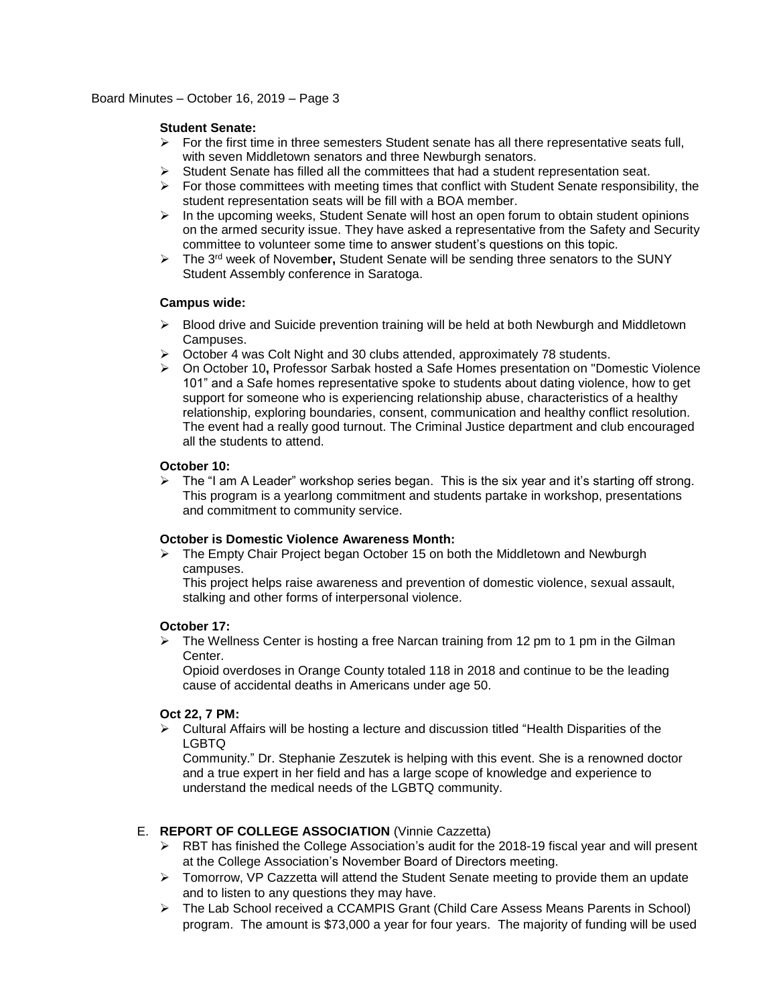### **Student Senate:**

- $\triangleright$  For the first time in three semesters Student senate has all there representative seats full, with seven Middletown senators and three Newburgh senators.
- $\triangleright$  Student Senate has filled all the committees that had a student representation seat.
- $\triangleright$  For those committees with meeting times that conflict with Student Senate responsibility, the student representation seats will be fill with a BOA member.
- $\triangleright$  In the upcoming weeks, Student Senate will host an open forum to obtain student opinions on the armed security issue. They have asked a representative from the Safety and Security committee to volunteer some time to answer student's questions on this topic.
- The 3rd week of Novemb**er,** Student Senate will be sending three senators to the SUNY Student Assembly conference in Saratoga.

## **Campus wide:**

- $\triangleright$  Blood drive and Suicide prevention training will be held at both Newburgh and Middletown Campuses.
- $\triangleright$  October 4 was Colt Night and 30 clubs attended, approximately 78 students.
- On October 10**,** Professor Sarbak hosted a Safe Homes presentation on "Domestic Violence 101" and a Safe homes representative spoke to students about dating violence, how to get support for someone who is experiencing relationship abuse, characteristics of a healthy relationship, exploring boundaries, consent, communication and healthy conflict resolution. The event had a really good turnout. The Criminal Justice department and club encouraged all the students to attend.

## **October 10:**

> The "I am A Leader" workshop series began. This is the six year and it's starting off strong. This program is a yearlong commitment and students partake in workshop, presentations and commitment to community service.

### **October is Domestic Violence Awareness Month:**

 $\triangleright$  The Empty Chair Project began October 15 on both the Middletown and Newburgh campuses.

This project helps raise awareness and prevention of domestic violence, sexual assault, stalking and other forms of interpersonal violence.

### **October 17:**

 $\triangleright$  The Wellness Center is hosting a free Narcan training from 12 pm to 1 pm in the Gilman Center.

Opioid overdoses in Orange County totaled 118 in 2018 and continue to be the leading cause of accidental deaths in Americans under age 50.

# **Oct 22, 7 PM:**

 $\triangleright$  Cultural Affairs will be hosting a lecture and discussion titled "Health Disparities of the LGBTQ

Community." Dr. Stephanie Zeszutek is helping with this event. She is a renowned doctor and a true expert in her field and has a large scope of knowledge and experience to understand the medical needs of the LGBTQ community.

# E. **REPORT OF COLLEGE ASSOCIATION** (Vinnie Cazzetta)

- $\triangleright$  RBT has finished the College Association's audit for the 2018-19 fiscal year and will present at the College Association's November Board of Directors meeting.
- $\triangleright$  Tomorrow, VP Cazzetta will attend the Student Senate meeting to provide them an update and to listen to any questions they may have.
- The Lab School received a CCAMPIS Grant (Child Care Assess Means Parents in School) program. The amount is \$73,000 a year for four years. The majority of funding will be used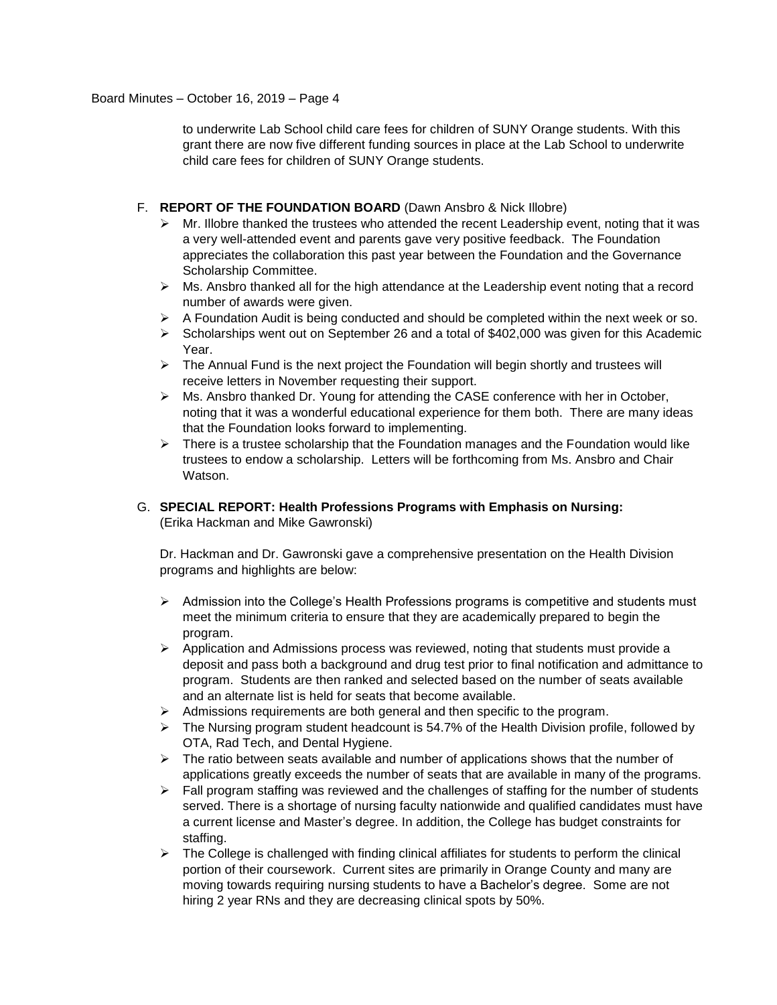to underwrite Lab School child care fees for children of SUNY Orange students. With this grant there are now five different funding sources in place at the Lab School to underwrite child care fees for children of SUNY Orange students.

## F. **REPORT OF THE FOUNDATION BOARD** (Dawn Ansbro & Nick Illobre)

- $\triangleright$  Mr. Illobre thanked the trustees who attended the recent Leadership event, noting that it was a very well-attended event and parents gave very positive feedback. The Foundation appreciates the collaboration this past year between the Foundation and the Governance Scholarship Committee.
- Ms. Ansbro thanked all for the high attendance at the Leadership event noting that a record number of awards were given.
- $\triangleright$  A Foundation Audit is being conducted and should be completed within the next week or so.
- $\triangleright$  Scholarships went out on September 26 and a total of \$402,000 was given for this Academic Year.
- $\triangleright$  The Annual Fund is the next project the Foundation will begin shortly and trustees will receive letters in November requesting their support.
- Ms. Ansbro thanked Dr. Young for attending the CASE conference with her in October, noting that it was a wonderful educational experience for them both. There are many ideas that the Foundation looks forward to implementing.
- $\triangleright$  There is a trustee scholarship that the Foundation manages and the Foundation would like trustees to endow a scholarship. Letters will be forthcoming from Ms. Ansbro and Chair Watson.
- G. **SPECIAL REPORT: Health Professions Programs with Emphasis on Nursing:** (Erika Hackman and Mike Gawronski)

Dr. Hackman and Dr. Gawronski gave a comprehensive presentation on the Health Division programs and highlights are below:

- $\triangleright$  Admission into the College's Health Professions programs is competitive and students must meet the minimum criteria to ensure that they are academically prepared to begin the program.
- $\triangleright$  Application and Admissions process was reviewed, noting that students must provide a deposit and pass both a background and drug test prior to final notification and admittance to program. Students are then ranked and selected based on the number of seats available and an alternate list is held for seats that become available.
- $\triangleright$  Admissions requirements are both general and then specific to the program.
- $\triangleright$  The Nursing program student headcount is 54.7% of the Health Division profile, followed by OTA, Rad Tech, and Dental Hygiene.
- $\triangleright$  The ratio between seats available and number of applications shows that the number of applications greatly exceeds the number of seats that are available in many of the programs.
- $\triangleright$  Fall program staffing was reviewed and the challenges of staffing for the number of students served. There is a shortage of nursing faculty nationwide and qualified candidates must have a current license and Master's degree. In addition, the College has budget constraints for staffing.
- $\triangleright$  The College is challenged with finding clinical affiliates for students to perform the clinical portion of their coursework. Current sites are primarily in Orange County and many are moving towards requiring nursing students to have a Bachelor's degree. Some are not hiring 2 year RNs and they are decreasing clinical spots by 50%.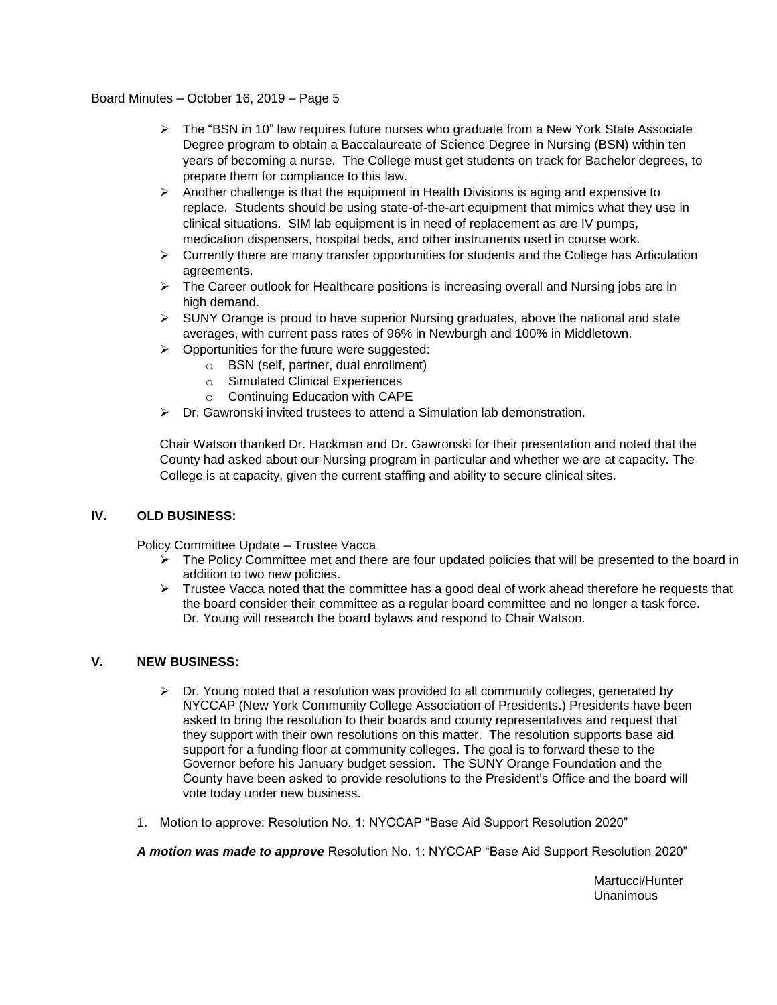Board Minutes – October 16, 2019 – Page 5

- $\triangleright$  The "BSN in 10" law requires future nurses who graduate from a New York State Associate Degree program to obtain a Baccalaureate of Science Degree in Nursing (BSN) within ten years of becoming a nurse. The College must get students on track for Bachelor degrees, to prepare them for compliance to this law.
- $\triangleright$  Another challenge is that the equipment in Health Divisions is aging and expensive to replace. Students should be using state-of-the-art equipment that mimics what they use in clinical situations. SIM lab equipment is in need of replacement as are IV pumps, medication dispensers, hospital beds, and other instruments used in course work.
- $\triangleright$  Currently there are many transfer opportunities for students and the College has Articulation agreements.
- > The Career outlook for Healthcare positions is increasing overall and Nursing jobs are in high demand.
- $\triangleright$  SUNY Orange is proud to have superior Nursing graduates, above the national and state averages, with current pass rates of 96% in Newburgh and 100% in Middletown.
- $\triangleright$  Opportunities for the future were suggested:
	- o BSN (self, partner, dual enrollment)
	- o Simulated Clinical Experiences
	- o Continuing Education with CAPE
- Dr. Gawronski invited trustees to attend a Simulation lab demonstration.

Chair Watson thanked Dr. Hackman and Dr. Gawronski for their presentation and noted that the County had asked about our Nursing program in particular and whether we are at capacity. The College is at capacity, given the current staffing and ability to secure clinical sites.

# **IV. OLD BUSINESS:**

Policy Committee Update – Trustee Vacca

- $\triangleright$  The Policy Committee met and there are four updated policies that will be presented to the board in addition to two new policies.
- $\triangleright$  Trustee Vacca noted that the committee has a good deal of work ahead therefore he requests that the board consider their committee as a regular board committee and no longer a task force. Dr. Young will research the board bylaws and respond to Chair Watson.

### **V. NEW BUSINESS:**

- $\triangleright$  Dr. Young noted that a resolution was provided to all community colleges, generated by NYCCAP (New York Community College Association of Presidents.) Presidents have been asked to bring the resolution to their boards and county representatives and request that they support with their own resolutions on this matter. The resolution supports base aid support for a funding floor at community colleges. The goal is to forward these to the Governor before his January budget session. The SUNY Orange Foundation and the County have been asked to provide resolutions to the President's Office and the board will vote today under new business.
- 1. Motion to approve: Resolution No. 1: NYCCAP "Base Aid Support Resolution 2020"

*A motion was made to approve* Resolution No. 1: NYCCAP "Base Aid Support Resolution 2020"

Martucci/Hunter Unanimous